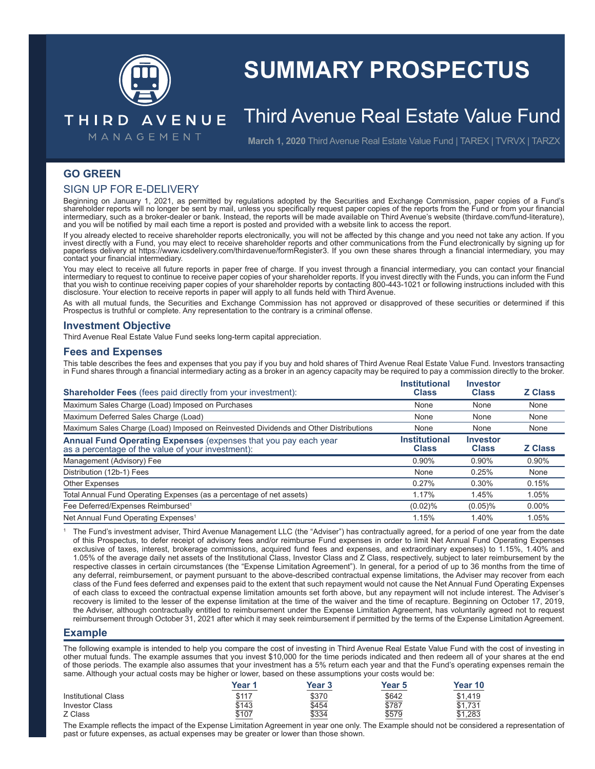

# **SUMMARY PROSPECTUS**

## Third Avenue Real Estate Value Fund

MANAGEMENT

THIRD AVENUE

**March 1, 2020** Third Avenue Real Estate Value Fund | TAREX | TVRVX | TARZX

### **GO GREEN**

#### SIGN UP FOR E-DELIVERY

Beginning on January 1, 2021, as permitted by regulations adopted by the Securities and Exchange Commission, paper copies of a Fund's shareholder reports will no longer be sent by mail, unless you specifically request paper copies of the reports from the Fund or from your financial intermediary, such as a broker-dealer or bank. Instead, the reports will be made available on Third Avenue's website (thirdave.com/fund-literature), and you will be notified by mail each time a report is posted and provided with a website link to access the report.

If you already elected to receive shareholder reports electronically, you will not be affected by this change and you need not take any action. If you invest directly with a Fund, you may elect to receive shareholder reports and other communications from the Fund electronically by signing up for paperless delivery at https://www.icsdelivery.com/thirdavenue/formRegister3. If you own these shares through a financial intermediary, you may contact your financial intermediary.

You may elect to receive all future reports in paper free of charge. If you invest through a financial intermediary, you can contact your financial intermediary to request to continue to receive paper copies of your shareholder reports. If you invest directly with the Funds, you can inform the Fund that you wish to continue receiving paper copies of your shareholder reports by contacting 800-443-1021 or following instructions included with this disclosure. Your election to receive reports in paper will apply to all funds held with Third Avenue.

As with all mutual funds, the Securities and Exchange Commission has not approved or disapproved of these securities or determined if this Prospectus is truthful or complete. Any representation to the contrary is a criminal offense.

#### **Investment Objective**

Third Avenue Real Estate Value Fund seeks long-term capital appreciation.

#### **Fees and Expenses**

This table describes the fees and expenses that you pay if you buy and hold shares of Third Avenue Real Estate Value Fund. Investors transacting in Fund shares through a financial intermediary acting as a broker in an agency capacity may be required to pay a commission directly to the broker.

| <b>Shareholder Fees</b> (fees paid directly from your investment):                                                   | <b>Institutional</b><br><b>Class</b> | <b>Investor</b><br><b>Class</b> | <b>Z Class</b> |
|----------------------------------------------------------------------------------------------------------------------|--------------------------------------|---------------------------------|----------------|
| Maximum Sales Charge (Load) Imposed on Purchases                                                                     | None                                 | None                            | None           |
| Maximum Deferred Sales Charge (Load)                                                                                 | None                                 | None                            | None           |
| Maximum Sales Charge (Load) Imposed on Reinvested Dividends and Other Distributions                                  | None                                 | None                            | None           |
| Annual Fund Operating Expenses (expenses that you pay each year<br>as a percentage of the value of your investment): | <b>Institutional</b><br><b>Class</b> | <b>Investor</b><br><b>Class</b> | <b>Z Class</b> |
| Management (Advisory) Fee                                                                                            | $0.90\%$                             | $0.90\%$                        | 0.90%          |
| Distribution (12b-1) Fees                                                                                            | None                                 | 0.25%                           | None           |
| <b>Other Expenses</b>                                                                                                | 0.27%                                | 0.30%                           | 0.15%          |
| Total Annual Fund Operating Expenses (as a percentage of net assets)                                                 | 1.17%                                | 1.45%                           | 1.05%          |
| Fee Deferred/Expenses Reimbursed <sup>1</sup>                                                                        | $(0.02)\%$                           | $(0.05)\%$                      | $0.00\%$       |
| Net Annual Fund Operating Expenses <sup>1</sup>                                                                      | 1.15%                                | 1.40%                           | 1.05%          |

1 The Fund's investment adviser, Third Avenue Management LLC (the "Adviser") has contractually agreed, for a period of one year from the date of this Prospectus, to defer receipt of advisory fees and/or reimburse Fund expenses in order to limit Net Annual Fund Operating Expenses exclusive of taxes, interest, brokerage commissions, acquired fund fees and expenses, and extraordinary expenses) to 1.15%, 1.40% and 1.05% of the average daily net assets of the Institutional Class, Investor Class and Z Class, respectively, subject to later reimbursement by the respective classes in certain circumstances (the "Expense Limitation Agreement"). In general, for a period of up to 36 months from the time of any deferral, reimbursement, or payment pursuant to the above-described contractual expense limitations, the Adviser may recover from each class of the Fund fees deferred and expenses paid to the extent that such repayment would not cause the Net Annual Fund Operating Expenses of each class to exceed the contractual expense limitation amounts set forth above, but any repayment will not include interest. The Adviser's recovery is limited to the lesser of the expense limitation at the time of the waiver and the time of recapture. Beginning on October 17, 2019, the Adviser, although contractually entitled to reimbursement under the Expense Limitation Agreement, has voluntarily agreed not to request reimbursement through October 31, 2021 after which it may seek reimbursement if permitted by the terms of the Expense Limitation Agreement.

#### **Example**

The following example is intended to help you compare the cost of investing in Third Avenue Real Estate Value Fund with the cost of investing in other mutual funds. The example assumes that you invest \$10,000 for the time periods indicated and then redeem all of your shares at the end of those periods. The example also assumes that your investment has a 5% return each year and that the Fund's operating expenses remain the same. Although your actual costs may be higher or lower, based on these assumptions your costs would be:

|                            | Year 1       | Year 3 | Year 5 | Year 10      |
|----------------------------|--------------|--------|--------|--------------|
| <b>Institutional Class</b> | <u>\$117</u> | \$370  | \$642  | \$1.419      |
| <b>Investor Class</b>      | \$143        | \$454  | \$787  | \$1.731      |
| Z Class                    | \$107        | \$334  | \$579  | 1.283<br>ሮ 4 |

The Example reflects the impact of the Expense Limitation Agreement in year one only. The Example should not be considered a representation of past or future expenses, as actual expenses may be greater or lower than those shown.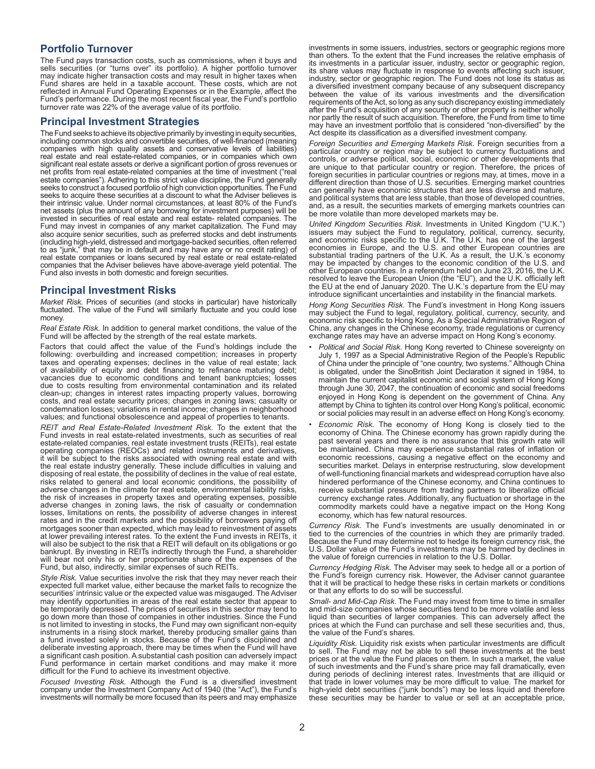#### **Portfolio Turnover**

The Fund pays transaction costs, such as commissions, when it buys and sells securities (or "turns over" its portfolio). A higher portfolio turnover may indicate higher transaction costs and may result in higher taxes when Fund shares are held in a taxable account. These costs, which are not reflected in Annual Fund Operating Expenses or in the Example, affect the Fund's performance. During the most recent fiscal year, the Fund's portfolio turnover rate was 22% of the average value of its portfolio.

#### **Principal Investment Strategies**

The Fund seeks to achieve its objective primarily by investing in equity securities, including common stocks and convertible securities, of well-financed (meaning companies with high quality assets and conservative levels of liabilities) real estate and real estate-related companies, or in companies which own significant real estate assets or derive a significant portion of gross revenues or net profits from real estate-related companies at the time of investment ("real estate companies"). Adhering to this strict value discipline, the Fund generally seeks to construct a focused portfolio of high conviction opportunities. The Fund seeks to acquire these securities at a discount to what the Adviser believes is their intrinsic value. Under normal circumstances, at least 80% of the Fund's net assets (plus the amount of any borrowing for investment purposes) will be invested in securities of real estate and real estate- related companies. The Fund may invest in companies of any market capitalization. The Fund may also acquire senior securities, such as preferred stocks and debt instruments (including high-yield, distressed and mortgage-backed securities, often referred to as "junk," that may be in default and may have any or no credit rating) of real estate companies or loans secured by real estate or real estate-related companies that the Adviser believes have above-average yield potential. The Fund also invests in both domestic and foreign securities.

#### **Principal Investment Risks**

*Market Risk.* Prices of securities (and stocks in particular) have historically fluctuated. The value of the Fund will similarly fluctuate and you could lose money.

*Real Estate Risk.* In addition to general market conditions, the value of the Fund will be affected by the strength of the real estate markets.

Factors that could affect the value of the Fund's holdings include the following: overbuilding and increased competition; increases in property taxes and operating expenses; declines in the value of real estate; lack of availability of equity and debt financing to refinance maturing debt; vacancies due to economic conditions and tenant bankruptcies; losses due to costs resulting from environmental contamination and its related clean-up; changes in interest rates impacting property values, borrowing costs, and real estate security prices; changes in zoning laws; casualty or condemnation losses; variations in rental income; changes in neighborhood values; and functional obsolescence and appeal of properties to tenants.

*REIT and Real Estate-Related Investment Risk.* To the extent that the Fund invests in real estate-related investments, such as securities of real estate-related companies, real estate investment trusts (REITs), real estate operating companies (REOCs) and related instruments and derivatives, it will be subject to the risks associated with owning real estate and with the real estate industry generally. These include difficulties in valuing and disposing of real estate, the possibility of declines in the value of real estate, risks related to general and local economic conditions, the possibility of adverse changes in the climate for real estate, environmental liability risks, the risk of increases in property taxes and operating expenses, possible adverse changes in zoning laws, the risk of casualty or condemnation losses, limitations on rents, the possibility of adverse changes in interest rates and in the credit markets and the possibility of borrowers paying off mortgages sooner than expected, which may lead to reinvestment of assets at lower prevailing interest rates. To the extent the Fund invests in REITs, it will also be subject to the risk that a REIT will default on its obligations or go bankrupt. By investing in REITs indirectly through the Fund, a shareholder will bear not only his or her proportionate share of the expenses of the Fund, but also, indirectly, similar expenses of such REITs.

*Style Risk.* Value securities involve the risk that they may never reach their expected full market value, either because the market fails to recognize the securities' intrinsic value or the expected value was misgauged. The Adviser may identify opportunities in areas of the real estate sector that appear to be temporarily depressed. The prices of securities in this sector may tend to go down more than those of companies in other industries. Since the Fund is not limited to investing in stocks, the Fund may own significant non-equity instruments in a rising stock market, thereby producing smaller gains than a fund invested solely in stocks. Because of the Fund's disciplined and deliberate investing approach, there may be times when the Fund will have a significant cash position. A substantial cash position can adversely impact Fund performance in certain market conditions and may make it more difficult for the Fund to achieve its investment objective.

*Focused Investing Risk.* Although the Fund is a diversified investment company under the Investment Company Act of 1940 (the "Act"), the Fund's investments will normally be more focused than its peers and may emphasize

investments in some issuers, industries, sectors or geographic regions more than others. To the extent that the Fund increases the relative emphasis of its investments in a particular issuer, industry, sector or geographic region, its share values may fluctuate in response to events affecting such issuer, industry, sector or geographic region. The Fund does not lose its status as a diversified investment company because of any subsequent discrepancy between the value of its various investments and the diversification requirements of the Act, so long as any such discrepancy existing immediately after the Fund's acquisition of any security or other property is neither wholly nor partly the result of such acquisition. Therefore, the Fund from time to time may have an investment portfolio that is considered "non-diversified" by the Act despite its classification as a diversified investment company.

*Foreign Securities and Emerging Markets Risk.* Foreign securities from a particular country or region may be subject to currency fluctuations and controls, or adverse political, social, economic or other developments that are unique to that particular country or region. Therefore, the prices of foreign securities in particular countries or regions may, at times, move in a different direction than those of U.S. securities. Emerging market countries can generally have economic structures that are less diverse and mature, and political systems that are less stable, than those of developed countries, and, as a result, the securities markets of emerging markets countries can be more volatile than more developed markets may be.

*United Kingdom Securities Risk.* Investments in United Kingdom ("U.K.") issuers may subject the Fund to regulatory, political, currency, security, and economic risks specific to the U.K. The U.K. has one of the largest economies in Europe, and the U.S. and other European countries are substantial trading partners of the U.K. As a result, the U.K.'s economy may be impacted by changes to the economic condition of the U.S. and other European countries. In a referendum held on June 23, 2016, the U.K. resolved to leave the European Union (the "EU"), and the U.K. officially left the EU at the end of January 2020. The U.K.'s departure from the EU may introduce significant uncertainties and instability in the financial markets.

*Hong Kong Securities Risk.* The Fund's investment in Hong Kong issuers may subject the Fund to legal, regulatory, political, currency, security, and economic risk specific to Hong Kong. As a Special Administrative Region of China, any changes in the Chinese economy, trade regulations or currency exchange rates may have an adverse impact on Hong Kong's economy.

- *Political and Social Risk*. Hong Kong reverted to Chinese sovereignty on July 1, 1997 as a Special Administrative Region of the People's Republic of China under the principle of "one country, two systems." Although China is obligated, under the SinoBritish Joint Declaration it signed in 1984, to maintain the current capitalist economic and social system of Hong Kong through June 30, 2047, the continuation of economic and social freedoms enjoyed in Hong Kong is dependent on the government of China. Any attempt by China to tighten its control over Hong Kong's political, economic or social policies may result in an adverse effect on Hong Kong's economy.
- *Economic Risk.* The economy of Hong Kong is closely tied to the economy of China. The Chinese economy has grown rapidly during the past several years and there is no assurance that this growth rate will be maintained. China may experience substantial rates of inflation or economic recessions, causing a negative effect on the economy and securities market. Delays in enterprise restructuring, slow development of well-functioning financial markets and widespread corruption have also hindered performance of the Chinese economy, and China continues to receive substantial pressure from trading partners to liberalize official currency exchange rates. Additionally, any fluctuation or shortage in the commodity markets could have a negative impact on the Hong Kong economy, which has few natural resources.

*Currency Risk.* The Fund's investments are usually denominated in or tied to the currencies of the countries in which they are primarily traded. Because the Fund may determine not to hedge its foreign currency risk, the U.S. Dollar value of the Fund's investments may be harmed by declines in the value of foreign currencies in relation to the U.S. Dollar.

*Currency Hedging Risk.* The Adviser may seek to hedge all or a portion of the Fund's foreign currency risk. However, the Adviser cannot guarantee that it will be practical to hedge these risks in certain markets or conditions or that any efforts to do so will be successful.

*Small- and Mid-Cap Risk.* The Fund may invest from time to time in smaller and mid-size companies whose securities tend to be more volatile and less liquid than securities of larger companies. This can adversely affect the prices at which the Fund can purchase and sell these securities and, thus, the value of the Fund's shares.

*Liquidity Risk.* Liquidity risk exists when particular investments are difficult to sell. The Fund may not be able to sell these investments at the best prices or at the value the Fund places on them. In such a market, the value of such investments and the Fund's share price may fall dramatically, even during periods of declining interest rates. Investments that are illiquid or that trade in lower volumes may be more difficult to value. The market for high-yield debt securities ("junk bonds") may be less liquid and therefore these securities may be harder to value or sell at an acceptable price,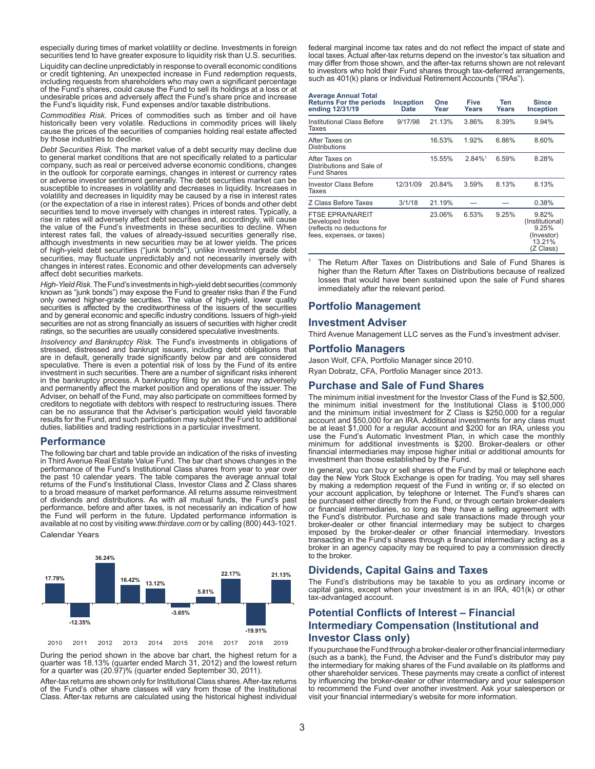especially during times of market volatility or decline. Investments in foreign securities tend to have greater exposure to liquidity risk than U.S. securities.

Liquidity can decline unpredictably in response to overall economic conditions or credit tightening. An unexpected increase in Fund redemption requests, including requests from shareholders who may own a significant percentage of the Fund's shares, could cause the Fund to sell its holdings at a loss or at undesirable prices and adversely affect the Fund's share price and increase the Fund's liquidity risk, Fund expenses and/or taxable distributions.

*Commodities Risk.* Prices of commodities such as timber and oil have historically been very volatile. Reductions in commodity prices will likely cause the prices of the securities of companies holding real estate affected by those industries to decline.

*Debt Securities Risk.* The market value of a debt security may decline due to general market conditions that are not specifically related to a particular company, such as real or perceived adverse economic conditions, changes in the outlook for corporate earnings, changes in interest or currency rates or adverse investor sentiment generally. The debt securities market can be susceptible to increases in volatility and decreases in liquidity. Increases in volatility and decreases in liquidity may be caused by a rise in interest rates (or the expectation of a rise in interest rates). Prices of bonds and other debt securities tend to move inversely with changes in interest rates. Typically, a rise in rates will adversely affect debt securities and, accordingly, will cause the value of the Fund's investments in these securities to decline. When interest rates fall, the values of already-issued securities generally rise, although investments in new securities may be at lower yields. The prices of high-yield debt securities ("junk bonds"), unlike investment grade debt securities, may fluctuate unpredictably and not necessarily inversely with changes in interest rates. Economic and other developments can adversely affect debt securities markets.

*High-Yield Risk.* The Fund's investments in high-yield debt securities (commonly known as "junk bonds") may expose the Fund to greater risks than if the Fund only owned higher-grade securities. The value of high-yield, lower quality securities is affected by the creditworthiness of the issuers of the securities and by general economic and specific industry conditions. Issuers of high-yield securities are not as strong financially as issuers of securities with higher credit ratings, so the securities are usually considered speculative investments.

*Insolvency and Bankruptcy Risk.* The Fund's investments in obligations of stressed, distressed and bankrupt issuers, including debt obligations that are in default, generally trade significantly below par and are considered speculative. There is even a potential risk of loss by the Fund of its entire investment in such securities. There are a number of significant risks inherent in the bankruptcy process. A bankruptcy filing by an issuer may adversely and permanently affect the market position and operations of the issuer. The Adviser, on behalf of the Fund, may also participate on committees formed by creditors to negotiate with debtors with respect to restructuring issues. There can be no assurance that the Adviser's participation would yield favorable results for the Fund, and such participation may subject the Fund to additional duties, liabilities and trading restrictions in a particular investment.

#### **Performance**

The following bar chart and table provide an indication of the risks of investing in Third Avenue Real Estate Value Fund. The bar chart shows changes in the performance of the Fund's Institutional Class shares from year to year over the past 10 calendar years. The table compares the average annual total returns of the Fund's Institutional Class, Investor Class and Z Class shares to a broad measure of market performance. All returns assume reinvestment of dividends and distributions. As with all mutual funds, the Fund's past performance, before and after taxes, is not necessarily an indication of how the Fund will perform in the future. Updated performance information is available at no cost by visiting *www.thirdave.com* or by calling (800) 443-1021.

Calendar Years



During the period shown in the above bar chart, the highest return for a quarter was 18.13% (quarter ended March 31, 2012) and the lowest return for a quarter was (20.97)% (quarter ended September 30, 2011).

After-tax returns are shown only for Institutional Class shares. After-tax returns of the Fund's other share classes will vary from those of the Institutional Class. After-tax returns are calculated using the historical highest individual federal marginal income tax rates and do not reflect the impact of state and local taxes. Actual after-tax returns depend on the investor's tax situation and may differ from those shown, and the after-tax returns shown are not relevant to investors who hold their Fund shares through tax-deferred arrangements, such as 401(k) plans or Individual Retirement Accounts ("IRAs").

#### **Average Annual Total**

| <b>Returns For the periods</b><br>ending 12/31/19                                                      | <b>Inception</b><br>Date | One<br>Year | Five<br><b>Years</b> | Ten<br>Years | <b>Since</b><br>Inception                                              |
|--------------------------------------------------------------------------------------------------------|--------------------------|-------------|----------------------|--------------|------------------------------------------------------------------------|
| Institutional Class Before<br>Taxes                                                                    | 9/17/98                  | 21.13%      | 3.86%                | 8.39%        | 9.94%                                                                  |
| After Taxes on<br><b>Distributions</b>                                                                 |                          | 16.53%      | 1.92%                | 6.86%        | 8.60%                                                                  |
| After Taxes on<br>Distributions and Sale of<br><b>Fund Shares</b>                                      |                          | 15.55%      | 2.84%1               | 6.59%        | 8.28%                                                                  |
| <b>Investor Class Before</b><br>Taxes                                                                  | 12/31/09                 | 20.84%      | 3.59%                | 8.13%        | 8.13%                                                                  |
| Z Class Before Taxes                                                                                   | 3/1/18                   | 21.19%      |                      |              | 0.38%                                                                  |
| <b>FTSE EPRA/NAREIT</b><br>Developed Index<br>(reflects no deductions for<br>fees, expenses, or taxes) |                          | 23.06%      | 6.53%                | 9.25%        | 9.82%<br>(Institutional)<br>9.25%<br>(Investor)<br>13.21%<br>(Z Class) |

1 The Return After Taxes on Distributions and Sale of Fund Shares is higher than the Return After Taxes on Distributions because of realized losses that would have been sustained upon the sale of Fund shares immediately after the relevant period.

#### **Portfolio Management**

#### **Investment Adviser**

Third Avenue Management LLC serves as the Fund's investment adviser.

#### **Portfolio Managers**

Jason Wolf, CFA, Portfolio Manager since 2010. Ryan Dobratz, CFA, Portfolio Manager since 2013.

#### **Purchase and Sale of Fund Shares**

The minimum initial investment for the Investor Class of the Fund is \$2,500, the minimum initial investment for the Institutional Class is \$100,000 and the minimum initial investment for Z Class is \$250,000 for a regular account and \$50,000 for an IRA. Additional investments for any class must be at least \$1,000 for a regular account and \$200 for an IRA, unless you use the Fund's Automatic Investment Plan, in which case the monthly minimum for additional investments is \$200. Broker-dealers or other financial intermediaries may impose higher initial or additional amounts for investment than those established by the Fund.

In general, you can buy or sell shares of the Fund by mail or telephone each day the New York Stock Exchange is open for trading. You may sell shares by making a redemption request of the Fund in writing or, if so elected on your account application, by telephone or Internet. The Fund's shares can be purchased either directly from the Fund, or through certain broker-dealers or financial intermediaries, so long as they have a selling agreement with the Fund's distributor. Purchase and sale transactions made through your broker-dealer or other financial intermediary may be subject to charges imposed by the broker-dealer or other financial intermediary. Investors transacting in the Fund's shares through a financial intermediary acting as a broker in an agency capacity may be required to pay a commission directly to the broker.

#### **Dividends, Capital Gains and Taxes**

The Fund's distributions may be taxable to you as ordinary income or capital gains, except when your investment is in an IRA, 401(k) or other tax-advantaged account.

### **Potential Conflicts of Interest – Financial Intermediary Compensation (Institutional and Investor Class only)**

If you purchase the Fund through a broker-dealer or other financial intermediary (such as a bank), the Fund, the Adviser and the Fund's distributor may pay the intermediary for making shares of the Fund available on its platforms and other shareholder services. These payments may create a conflict of interest by influencing the broker-dealer or other intermediary and your salesperson to recommend the Fund over another investment. Ask your salesperson or visit your financial intermediary's website for more information.